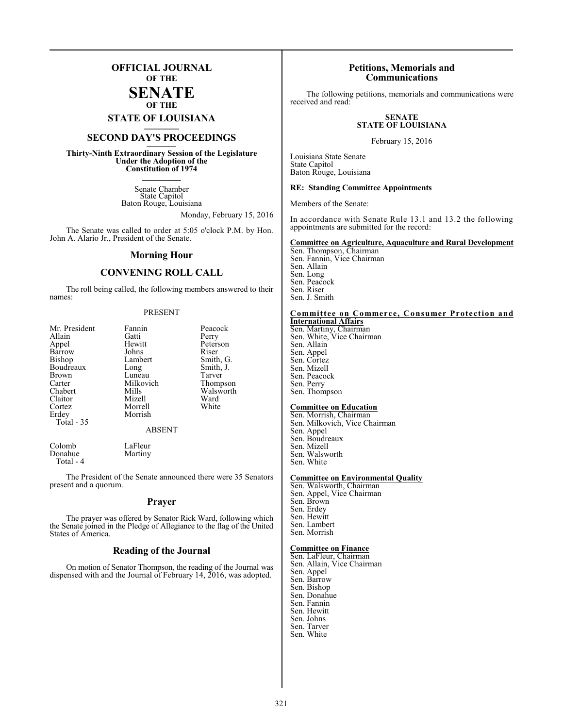### **OFFICIAL JOURNAL OF THE**

**SENATE OF THE**

## **STATE OF LOUISIANA \_\_\_\_\_\_\_**

## **SECOND DAY'S PROCEEDINGS \_\_\_\_\_\_\_**

**Thirty-Ninth Extraordinary Session of the Legislature Under the Adoption of the Constitution of 1974 \_\_\_\_\_\_\_**

> Senate Chamber State Capitol Baton Rouge, Louisiana

> > Monday, February 15, 2016

The Senate was called to order at 5:05 o'clock P.M. by Hon. John A. Alario Jr., President of the Senate.

#### **Morning Hour**

#### **CONVENING ROLL CALL**

The roll being called, the following members answered to their names:

#### PRESENT

| Mr. President<br>Allain<br>Appel<br>Barrow<br>Bishop<br>Boudreaux<br>Brown<br>Carter<br>Chabert | Fannin<br>Gatti<br>Hewitt<br>Johns<br>Lambert<br>Long<br>Luneau<br>Milkovich<br>Mills | Peacock<br>Perry<br>Peterson<br>Riser<br>Smith, G.<br>Smith, J.<br>Tarver<br>Thompson<br>Walsworth |
|-------------------------------------------------------------------------------------------------|---------------------------------------------------------------------------------------|----------------------------------------------------------------------------------------------------|
| Claitor<br>Cortez<br>Erdey<br>Total - 35                                                        | Mizell<br>Morrell<br>Morrish<br><b>ABSENT</b>                                         | Ward<br>White                                                                                      |
| $\sim$ 1 1                                                                                      | $T \cdot T1$                                                                          |                                                                                                    |

Colomb LaFleur<br>Donahue Martiny Donahue Total - 4

The President of the Senate announced there were 35 Senators present and a quorum.

#### **Prayer**

The prayer was offered by Senator Rick Ward, following which the Senate joined in the Pledge of Allegiance to the flag of the United States of America.

#### **Reading of the Journal**

On motion of Senator Thompson, the reading of the Journal was dispensed with and the Journal of February 14, 2016, was adopted.

#### **Petitions, Memorials and Communications**

The following petitions, memorials and communications were received and read:

#### **SENATE STATE OF LOUISIANA**

February 15, 2016

Louisiana State Senate State Capitol Baton Rouge, Louisiana

#### **RE: Standing Committee Appointments**

Members of the Senate:

In accordance with Senate Rule 13.1 and 13.2 the following appointments are submitted for the record:

#### **Committee on Agriculture, Aquaculture and Rural Development**

Sen. Thompson, Chairman Sen. Fannin, Vice Chairman Sen. Allain Sen. Long Sen. Peacock Sen. Riser Sen. J. Smith

#### **Committee on Commerce, Consumer Protection and International Affairs**

Sen. Martiny, Chairman Sen. White, Vice Chairman Sen. Allain Sen. Appel Sen. Cortez Sen. Mizell Sen. Peacock Sen. Perry Sen. Thompson

#### **Committee on Education**

Sen. Morrish, Chairman Sen. Milkovich, Vice Chairman Sen. Appel Sen. Boudreaux Sen. Mizell Sen. Walsworth Sen. White

#### **Committee on Environmental Quality**

Sen. Walsworth, Chairman Sen. Appel, Vice Chairman Sen. Brown Sen. Erdey Sen. Hewitt Sen. Lambert Sen. Morrish

#### **Committee on Finance**

- Sen. LaFleur, Chairman Sen. Allain, Vice Chairman Sen. Appel Sen. Barrow Sen. Bishop Sen. Donahue
- Sen. Fannin
- Sen. Hewitt
- Sen. Johns
- Sen. Tarver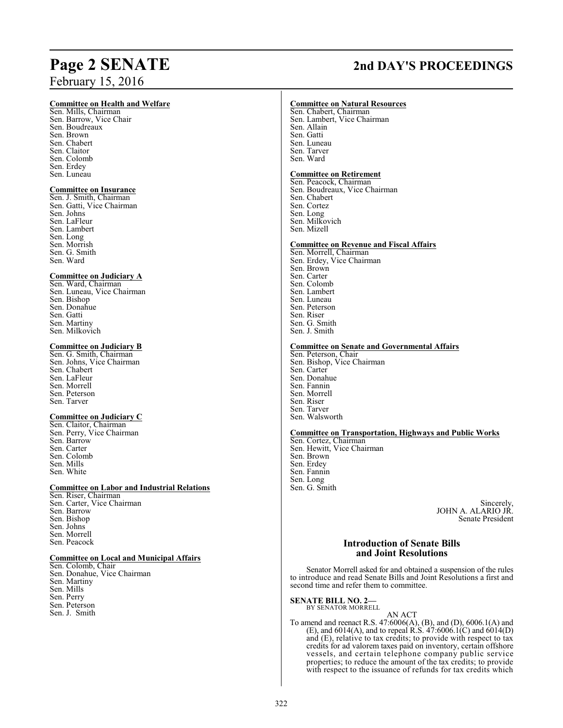## February 15, 2016

#### **Committee on Health and Welfare**

Sen. Mills, Chairman Sen. Barrow, Vice Chair Sen. Boudreaux Sen. Brown Sen. Chabert Sen. Claitor Sen. Colomb Sen. Erdey Sen. Luneau

#### **Committee on Insurance**

Sen. J. Smith, Chairman Sen. Gatti, Vice Chairman Sen. Johns Sen. LaFleur Sen. Lambert Sen. Long Sen. Morrish Sen. G. Smith Sen. Ward

#### **Committee on Judiciary A**

Sen. Ward, Chairman Sen. Luneau, Vice Chairman Sen. Bishop Sen. Donahue Sen. Gatti Sen. Martiny Sen. Milkovich

#### **Committee on Judiciary B**

Sen. G. Smith, Chairman Sen. Johns, Vice Chairman Sen. Chabert Sen. LaFleur Sen. Morrell Sen. Peterson Sen. Tarver

#### **Committee on Judiciary C**

Sen. Claitor, Chairman Sen. Perry, Vice Chairman Sen. Barrow Sen. Carter Sen. Colomb Sen. Mills Sen. White

#### **Committee on Labor and Industrial Relations**

Sen. Riser, Chairman Sen. Carter, Vice Chairman Sen. Barrow Sen. Bishop Sen. Johns Sen. Morrell Sen. Peacock

#### **Committee on Local and Municipal Affairs**

- Sen. Colomb, Chair Sen. Donahue, Vice Chairman Sen. Martiny Sen. Mills Sen. Perry Sen. Peterson
- Sen. J. Smith

## **Page 2 SENATE 2nd DAY'S PROCEEDINGS**

#### **Committee on Natural Resources**

Sen. Chabert, Chairman Sen. Lambert, Vice Chairman Sen. Allain Sen. Gatti Sen. Luneau Sen. Tarver Sen. Ward

#### **Committee on Retirement**

Sen. Peacock, Chairman Sen. Boudreaux, Vice Chairman Sen. Chabert Sen. Cortez Sen. Long Sen. Milkovich Sen. Mizell

#### **Committee on Revenue and Fiscal Affairs**

Sen. Morrell, Chairman Sen. Erdey, Vice Chairman Sen. Brown Sen. Carter Sen. Colomb Sen. Lambert Sen. Luneau Sen. Peterson Sen. Riser Sen. G. Smith Sen. J. Smith

#### **Committee on Senate and Governmental Affairs**

Sen. Peterson, Chair Sen. Bishop, Vice Chairman Sen. Carter Sen. Donahue Sen. Fannin Sen. Morrell Sen. Riser Sen. Tarver Sen. Walsworth

#### **Committee on Transportation, Highways and Public Works**

Sen. Cortez, Chairman Sen. Hewitt, Vice Chairman Sen. Brown Sen. Erdey Sen. Fannin Sen. Long Sen. G. Smith

> Sincerely, JOHN A. ALARIO JR. Senate President

#### **Introduction of Senate Bills and Joint Resolutions**

Senator Morrell asked for and obtained a suspension of the rules to introduce and read Senate Bills and Joint Resolutions a first and second time and refer them to committee.

#### **SENATE BILL NO. 2—** BY SENATOR MORRELL

AN ACT To amend and reenact R.S. 47:6006(A), (B), and (D), 6006.1(A) and (E), and 6014(A), and to repeal R.S. 47:6006.1(C) and 6014(D) and (E), relative to tax credits; to provide with respect to tax credits for ad valorem taxes paid on inventory, certain offshore vessels, and certain telephone company public service properties; to reduce the amount of the tax credits; to provide with respect to the issuance of refunds for tax credits which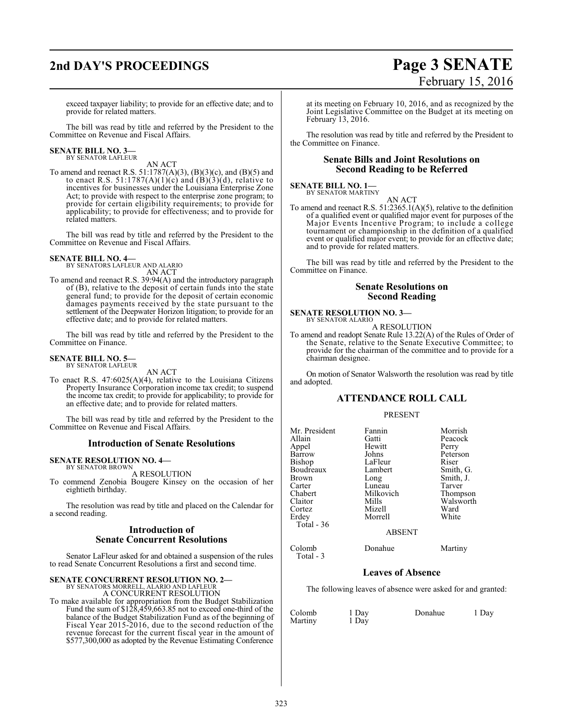## **2nd DAY'S PROCEEDINGS Page 3 SENATE**

# February 15, 2016

exceed taxpayer liability; to provide for an effective date; and to provide for related matters.

The bill was read by title and referred by the President to the Committee on Revenue and Fiscal Affairs.

## **SENATE BILL NO. 3—** BY SENATOR LAFLEUR

AN ACT

To amend and reenact R.S. 51:1787(A)(3), (B)(3)(c), and (B)(5) and to enact R.S. 51:1787(A)(1)(c) and  $(B)(3)(d)$ , relative to incentives for businesses under the Louisiana Enterprise Zone Act; to provide with respect to the enterprise zone program; to provide for certain eligibility requirements; to provide for applicability; to provide for effectiveness; and to provide for related matters.

The bill was read by title and referred by the President to the Committee on Revenue and Fiscal Affairs.

**SENATE BILL NO. 4—** BY SENATORS LAFLEUR AND ALARIO AN ACT

To amend and reenact R.S. 39:94(A) and the introductory paragraph of (B), relative to the deposit of certain funds into the state general fund; to provide for the deposit of certain economic damages payments received by the state pursuant to the settlement of the Deepwater Horizon litigation; to provide for an effective date; and to provide for related matters.

The bill was read by title and referred by the President to the Committee on Finance.

#### **SENATE BILL NO. 5—** BY SENATOR LAFLEUR

AN ACT

To enact R.S. 47:6025(A)(4), relative to the Louisiana Citizens Property Insurance Corporation income tax credit; to suspend the income tax credit; to provide for applicability; to provide for an effective date; and to provide for related matters.

The bill was read by title and referred by the President to the Committee on Revenue and Fiscal Affairs.

#### **Introduction of Senate Resolutions**

#### **SENATE RESOLUTION NO. 4—** BY SENATOR BROWN

A RESOLUTION

To commend Zenobia Bougere Kinsey on the occasion of her eightieth birthday.

The resolution was read by title and placed on the Calendar for a second reading.

#### **Introduction of Senate Concurrent Resolutions**

Senator LaFleur asked for and obtained a suspension of the rules to read Senate Concurrent Resolutions a first and second time.

#### **SENATE CONCURRENT RESOLUTION NO. 2—**

BY SENATORS MORRELL, ALARIO AND LAFLEUR A CONCURRENT RESOLUTION

To make available for appropriation from the Budget Stabilization Fund the sum of  $$1\overline{2}\dot{8},4\dot{5}9,663.85$  not to exceed one-third of the balance of the Budget Stabilization Fund as of the beginning of Fiscal Year 2015-2016, due to the second reduction of the revenue forecast for the current fiscal year in the amount of \$577,300,000 as adopted by the Revenue Estimating Conference

at its meeting on February 10, 2016, and as recognized by the Joint Legislative Committee on the Budget at its meeting on February 13, 2016.

The resolution was read by title and referred by the President to the Committee on Finance.

#### **Senate Bills and Joint Resolutions on Second Reading to be Referred**

## **SENATE BILL NO. 1—**<br>BY SENATOR MARTINY

AN ACT To amend and reenact R.S. 51:2365.1(A)(5), relative to the definition of a qualified event or qualified major event for purposes of the Major Events Incentive Program; to include a college tournament or championship in the definition of a qualified event or qualified major event; to provide for an effective date; and to provide for related matters.

The bill was read by title and referred by the President to the Committee on Finance.

#### **Senate Resolutions on Second Reading**

#### **SENATE RESOLUTION NO. 3—** BY SENATOR ALARIO

A RESOLUTION

To amend and readopt Senate Rule 13.22(A) of the Rules of Order of the Senate, relative to the Senate Executive Committee; to provide for the chairman of the committee and to provide for a chairman designee.

On motion of Senator Walsworth the resolution was read by title and adopted.

#### **ATTENDANCE ROLL CALL**

#### PRESENT

| Mr. President | Fannin        | Morrish   |
|---------------|---------------|-----------|
| Allain        | Gatti         | Peacock   |
| Appel         | Hewitt        | Perry     |
| Barrow        | Johns         | Peterson  |
| <b>Bishop</b> | LaFleur       | Riser     |
| Boudreaux     | Lambert       | Smith, G. |
| <b>Brown</b>  | Long          | Smith, J. |
| Carter        | Luneau        | Tarver    |
| Chabert       | Milkovich     | Thompson  |
| Claitor       | Mills         | Walsworth |
| Cortez        | Mizell        | Ward      |
| Erdey         | Morrell       | White     |
| Total - 36    |               |           |
|               | <b>ABSENT</b> |           |
|               |               |           |

Colomb Donahue Martiny

#### **Leaves of Absence**

The following leaves of absence were asked for and granted:

| Colomb  | 1 Day | Donahue | 1 Day |
|---------|-------|---------|-------|
| Martiny | 1 Day |         |       |

Total - 3